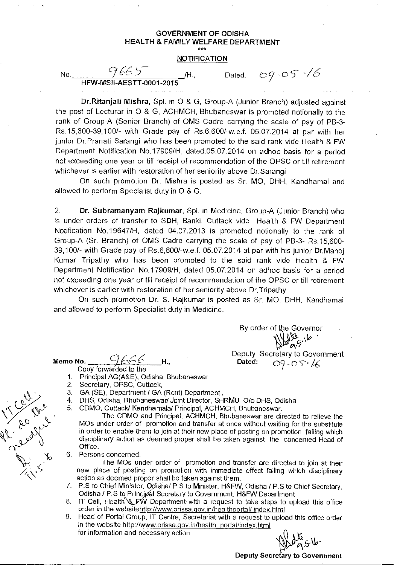## GOVERNMENT OF ODISHA HEALTH & FAMILY WELFARE DEPARTMENT  $x^{***}$

## **NOTIFICATION**

No.  $9665$  /H., HFW-MSII-AESTT-0001-2015

Dated:  $0.05*/6$ 

Dr.Ritanjali Mishra, Spl. in 0 & G, Group-A (Junior Branch) adjusted against the post of Lecturar in 0 & G, ACHMCH, Bhubaneswar is promoted notionally to the rank of Group-A (Senior Branch) of OMS Cadre carrying the scale of pay of PB-3- Rs.15,600-39,100/- with Grade pay of Rs.6,600/-w.e.f. 05.07.2014 at par with her junior Dr.Pranati Sarangi who has been promoted to the said rank vide Health & FW Department Notification No.17909/H, dated.05.07.2014 on adhoc basis for a period not exceeding one year or till receipt of recommendation of the OPSC or till retirement whichever is earlier with restoration of her seniority above Dr.Sarangi.

On such promotion Dr. Mishra is posted as Sr. MO, DHH, Kandhamal and allowed to perform Specialist duty in 0 & G.

2. Dr. Subramanyam Rajkumar, Spl. in Medicine, Group-A (Junior Branch) who is under orders of transfer to SDH, Banki, Cuttack vide Health & FW Department Notification No.19647/H, dated 04.07.2013 is promoted notionally to the rank of Group-A (Sr. Branch) of OMS Cadre carrying the scale of pay of PB-3- Rs.15,600- 39,100/- with Grade pay of Rs.6,600/-w.e.f. 05.07.2014 at par with his junior Dr.Manoj Kumar Tripathy who has been promoted to the said rank vide Health & FW Department Notification No.17909/H, dated 05.07.2014 on adhoc basis for a period not exceeding one year or till receipt of recommendation of the OPSC or till retirement whichever is earlier with restoration of her seniority above Dr.Tripathy

On such promotion Dr. S. Rajkumar is posted as Sr. MO, DHH, Kandhamal and allowed to perform Specialist duty in Medicine.

Memo No.

9666 H.,

- Copy forwarded to the
- 1. Principal AG(A&E), Odisha, Bhubaneswar
- 2. Secretary, OPSC, Cuttack,
- 3. GA (SE), Department / GA (Rent) Department ,
- 4. DHS, Odisha, Bhubaneswar/ Joint Director, SHRMU 0/o DHS, Odisha,
- 5. CDMO, Cuttack/ Kandhamala/ Principal, ACHMCH, Bhubaneswar.

The CDMO and Principal, ACHMCH, Bhubaneswar are directed to relieve the MOs under order of promotion and transfer at once without waiting for the substitute in order to enable them to join at their new place of posting on promotion failing which disciplinary action as deemed proper shall be taken against the concerned Head of Office.

6. Persons concerned.

The MOs under order of promotion and transfer are directed to join at their new place of posting on promotion with immediate effect failing which disciplinary action as deemed proper shall be taken against them.

- 7. P.S to Chief Minister, Odisha/ P.S to Minister, H&FW, Odisha / P.S to Chief Secretary, Odisha / P.S to Principal Secretary to Government, H&FW Department
- 8. IT Cell, Health & FW Department with a request to take steps to upload this office order in the websitehttp://www.orissa.gov.in/healthportal/ index.html
- 9. Head of Portal Group, IT Centre, Secretariat with a request to upload this office order in the website http://www.orissa.gov.in/health\_portal/index.html for information and necessary action.

 $5.1$ 

 $\cdot$   $\cdot$   $\cdot$ avv

Deputy Secretary to Government<br>
Dated:  $O9.055/\sqrt{ }$ 09-05-16

<u>NI</u>.

By order of the Governor

r,

Deputy Secretary to Government

VI contre